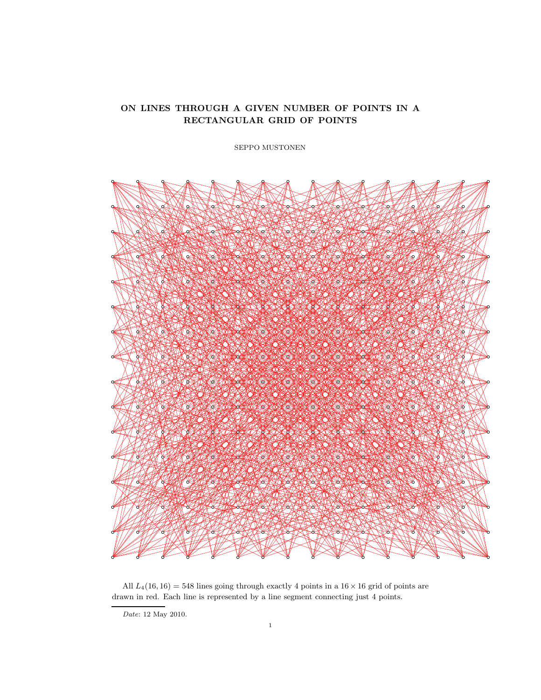# ON LINES THROUGH A GIVEN NUMBER OF POINTS IN A RECTANGULAR GRID OF POINTS

SEPPO MUSTONEN



All  $L_4(16, 16) = 548$  lines going through exactly 4 points in a  $16 \times 16$  grid of points are drawn in red. Each line is represented by a line segment connecting just 4 points.

 $Date:$  12 May 2010.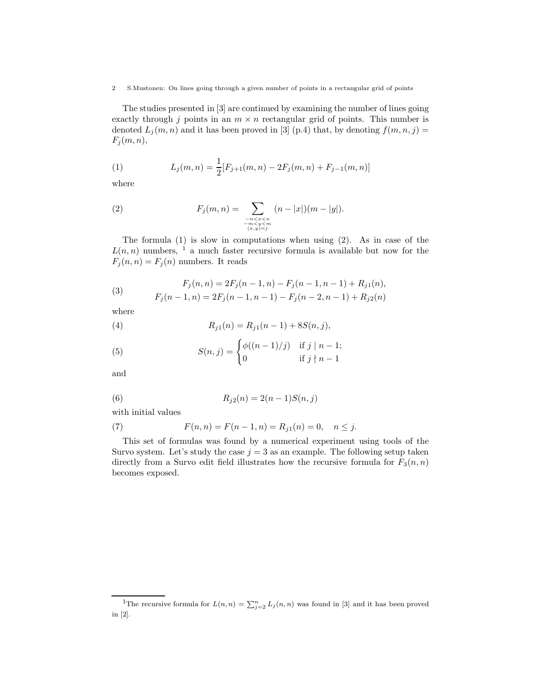The studies presented in [3] are continued by examining the number of lines going exactly through j points in an  $m \times n$  rectangular grid of points. This number is denoted  $L_j(m, n)$  and it has been proved in [3] (p.4) that, by denoting  $f(m, n, j)$  =  $F_j(m, n),$ 

(1) 
$$
L_j(m,n) = \frac{1}{2} [F_{j+1}(m,n) - 2F_j(m,n) + F_{j-1}(m,n)]
$$

where

(2) 
$$
F_j(m,n) = \sum_{\substack{n < x < n \\ -m < y < m \\ (x,y) = j}} (n - |x|)(m - |y|).
$$

The formula (1) is slow in computations when using (2). As in case of the  $L(n, n)$  numbers, <sup>1</sup> a much faster recursive formula is available but now for the  $F_j(n, n) = F_j(n)$  numbers. It reads

(3) 
$$
F_j(n,n) = 2F_j(n-1,n) - F_j(n-1,n-1) + R_{j1}(n),
$$

$$
F_j(n-1,n) = 2F_j(n-1,n-1) - F_j(n-2,n-1) + R_{j2}(n)
$$

where

(4) 
$$
R_{j1}(n) = R_{j1}(n-1) + 8S(n,j),
$$

(5) 
$$
S(n,j) = \begin{cases} \phi((n-1)/j) & \text{if } j \mid n-1; \\ 0 & \text{if } j \nmid n-1 \end{cases}
$$

and

(6) 
$$
R_{j2}(n) = 2(n-1)S(n,j)
$$

with initial values

(7) 
$$
F(n, n) = F(n - 1, n) = R_{j1}(n) = 0, \quad n \leq j.
$$

This set of formulas was found by a numerical experiment using tools of the Survo system. Let's study the case  $j = 3$  as an example. The following setup taken directly from a Survo edit field illustrates how the recursive formula for  $F_3(n, n)$ becomes exposed.

<sup>&</sup>lt;sup>1</sup>The recursive formula for  $L(n,n) = \sum_{j=2}^{n} L_j(n,n)$  was found in [3] and it has been proved in [2].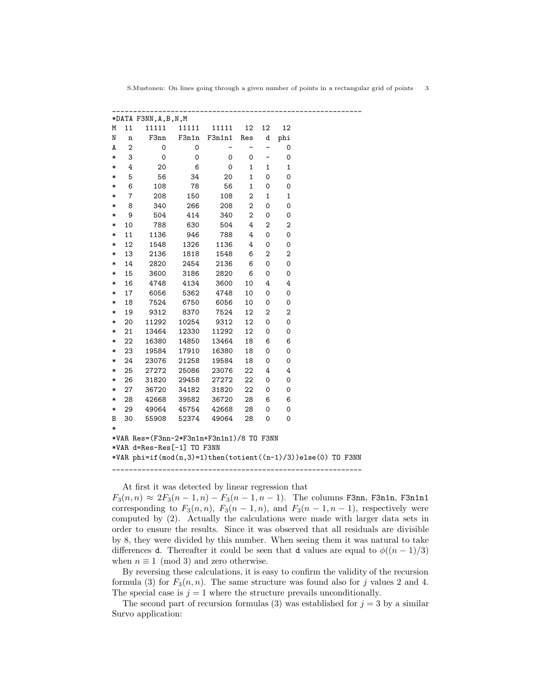| Μ                                                                     | 11             | 11111       | 11111       | 11111  | 12                       | 12                       | 12             |  |  |  |
|-----------------------------------------------------------------------|----------------|-------------|-------------|--------|--------------------------|--------------------------|----------------|--|--|--|
| N                                                                     | n              | F3nn        | F3n1n       | F3n1n1 | Res                      | d                        | phi            |  |  |  |
| A                                                                     | $\mathbf 2$    | 0           | 0           |        | $\overline{\phantom{0}}$ | $\overline{\phantom{0}}$ | 0              |  |  |  |
| $\ast$                                                                | 3              | $\mathbf 0$ | $\mathbf 0$ | 0      | 0                        | $\qquad \qquad -$        | $\mathbf 0$    |  |  |  |
| $\ast$                                                                | 4              | 20          | 6           | 0      | 1                        | $\mathbf{1}$             | $\mathbf 1$    |  |  |  |
| $\ast$                                                                | 5              | 56          | 34          | 20     | $\mathbf{1}$             | 0                        | 0              |  |  |  |
| $\ast$                                                                | 6              | 108         | 78          | 56     | $\mathbf{1}$             | 0                        | 0              |  |  |  |
| $\ast$                                                                | $\overline{7}$ | 208         | 150         | 108    | 2                        | $\mathbf{1}$             | 1              |  |  |  |
| *                                                                     | 8              | 340         | 266         | 208    | $\overline{2}$           | 0                        | 0              |  |  |  |
| *                                                                     | 9              | 504         | 414         | 340    | $\overline{2}$           | 0                        | 0              |  |  |  |
| $\ast$                                                                | 10             | 788         | 630         | 504    | 4                        | $\overline{2}$           | $\overline{2}$ |  |  |  |
| $\ast$                                                                | 11             | 1136        | 946         | 788    | 4                        | 0                        | 0              |  |  |  |
| $\ast$                                                                | 12             | 1548        | 1326        | 1136   | 4                        | 0                        | 0              |  |  |  |
| $\ast$                                                                | 13             | 2136        | 1818        | 1548   | 6                        | $\overline{2}$           | $\overline{2}$ |  |  |  |
| $\ast$                                                                | 14             | 2820        | 2454        | 2136   | 6                        | 0                        | 0              |  |  |  |
| $\ast$                                                                | 15             | 3600        | 3186        | 2820   | 6                        | 0                        | 0              |  |  |  |
| $\ast$                                                                | 16             | 4748        | 4134        | 3600   | 10                       | 4                        | 4              |  |  |  |
| *                                                                     | 17             | 6056        | 5362        | 4748   | 10                       | 0                        | 0              |  |  |  |
| *                                                                     | 18             | 7524        | 6750        | 6056   | 10                       | 0                        | 0              |  |  |  |
| *                                                                     | 19             | 9312        | 8370        | 7524   | 12                       | 2                        | 2              |  |  |  |
| *                                                                     | 20             | 11292       | 10254       | 9312   | 12                       | 0                        | 0              |  |  |  |
| $\ast$                                                                | 21             | 13464       | 12330       | 11292  | 12                       | 0                        | 0              |  |  |  |
| *                                                                     | 22             | 16380       | 14850       | 13464  | 18                       | 6                        | 6              |  |  |  |
| $\ast$                                                                | 23             | 19584       | 17910       | 16380  | 18                       | 0                        | 0              |  |  |  |
| *                                                                     | 24             | 23076       | 21258       | 19584  | 18                       | 0                        | 0              |  |  |  |
| $\ast$                                                                | 25             | 27272       | 25086       | 23076  | 22                       | 4                        | 4              |  |  |  |
| *                                                                     | 26             | 31820       | 29458       | 27272  | 22                       | 0                        | 0              |  |  |  |
| $\ast$                                                                | 27             | 36720       | 34182       | 31820  | 22                       | 0                        | 0              |  |  |  |
| *                                                                     | 28             | 42668       | 39582       | 36720  | 28                       | 6                        | 6              |  |  |  |
| $\ast$                                                                | 29             | 49064       | 45754       | 42668  | 28                       | 0                        | 0              |  |  |  |
| B                                                                     | 30             | 55908       | 52374       | 49064  | 28                       | 0                        | 0              |  |  |  |
| $\ast$                                                                |                |             |             |        |                          |                          |                |  |  |  |
| *VAR Res=(F3nn-2*F3n1n+F3n1n1)/8 TO F3NN                              |                |             |             |        |                          |                          |                |  |  |  |
| *VAR d=Res-Res[-1] TO F3NN                                            |                |             |             |        |                          |                          |                |  |  |  |
| *VAR phi=if( $mod(n, 3)$ =1)then(totient( $(n-1)/3$ ))else(0) TO F3NN |                |             |             |        |                          |                          |                |  |  |  |
|                                                                       |                |             |             |        |                          |                          |                |  |  |  |

At first it was detected by linear regression that

 $F_3(n, n) \approx 2F_3(n-1, n) - F_3(n-1, n-1)$ . The columns F3nn, F3n1n, F3n1n1 corresponding to  $F_3(n, n)$ ,  $F_3(n - 1, n)$ , and  $F_3(n - 1, n - 1)$ , respectively were computed by (2). Actually the calculations were made with larger data sets in order to ensure the results. Since it was observed that all residuals are divisible by 8, they were divided by this number. When seeing them it was natural to take differences d. Thereafter it could be seen that d values are equal to  $\phi((n-1)/3)$ when  $n \equiv 1 \pmod{3}$  and zero otherwise.

By reversing these calculations, it is easy to confirm the validity of the recursion formula (3) for  $F_3(n, n)$ . The same structure was found also for j values 2 and 4. The special case is  $j = 1$  where the structure prevails unconditionally.

The second part of recursion formulas (3) was established for  $j = 3$  by a similar Survo application: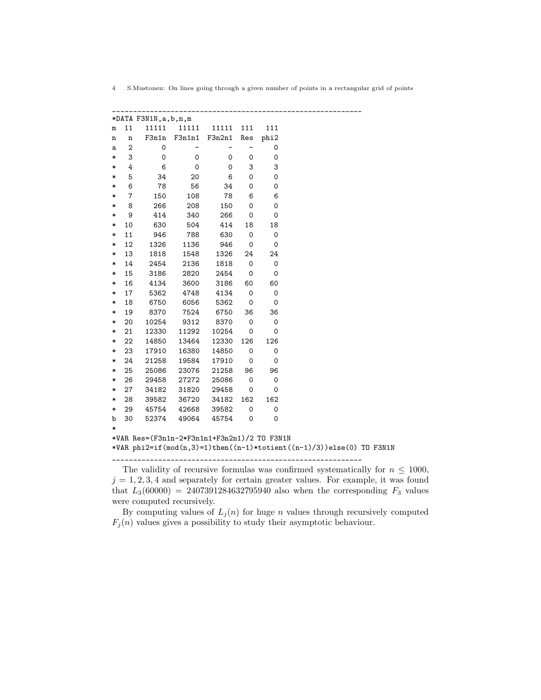4 S.Mustonen: On lines going through a given number of points in a rectangular grid of points

\_\_\_\_\_\_\_\_\_\_\_\_\_\_\_\_\_\_\_\_\_\_\_\_\_\_\_\_\_\_\_\_\_\_\_\_\_\_\_\_\_\_\_\_\_\_\_\_\_\_\_\_\_\_\_\_\_\_\_\_

The validity of recursive formulas was confirmed systematically for  $n \leq 1000$ ,  $j = 1, 2, 3, 4$  and separately for certain greater values. For example, it was found that  $L_3(60000) = 2407391284632795940$  also when the corresponding  $F_3$  values were computed recursively.

By computing values of  $L_i(n)$  for huge n values through recursively computed  $F_j(n)$  values gives a possibility to study their asymptotic behaviour.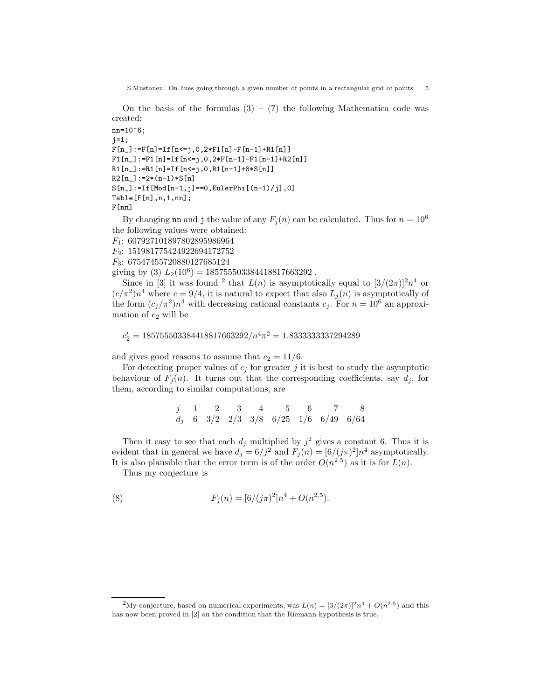On the basis of the formulas  $(3) - (7)$  the following Mathematica code was created:

```
nn=10^6;j=1;F[n_]:=F[n]=If[n<=j,0,2*F1[n]-F[n-1]+R1[n]]F1[n_]:=F1[n]=If[n<=j,0,2*F[n-1]-F1[n-1]+R2[n]]
R1[n_]:=R1[n]=If[n<=j,0,R1[n-1]+8*S[n]R2[n_]:=2*(n-1)*S[n]S[n_]:=If[Mod[n-1,j]==0,EulerPhi[(n-1)/j],0]
Table[F[n],n,1,nn];
F[nn]
```
By changing nn and j the value of any  $F_i(n)$  can be calculated. Thus for  $n = 10^6$ the following values were obtained:

F1: 607927101897802895986964 F2: 151981775424922694172752

F3: 67547455720880127685124

giving by (3)  $L_2(10^6) = 185755503384418817663292$ .

Since in [3] it was found <sup>2</sup> that  $L(n)$  is asymptotically equal to  $[3/(2\pi)]^2 n^4$  or  $(c/\pi^2)n^4$  where  $c = 9/4$ , it is natural to expect that also  $L_j(n)$  is asymptotically of the form  $(c_j/\pi^2)n^4$  with decreasing rational constants  $c_j$ . For  $n = 10^6$  an approximation of  $c_2$  will be

$$
c'_2 = 185755503384418817663292/n^4 \pi^2 = 1.8333333337294289
$$

and gives good reasons to assume that  $c_2 = 11/6$ .

For detecting proper values of  $c_j$  for greater j it is best to study the asymptotic behaviour of  $F_j(n)$ . It turns out that the corresponding coefficients, say  $d_j$ , for them, according to similar computations, are

$$
\begin{array}{ccccccccc} j & 1 & 2 & 3 & 4 & 5 & 6 & 7 & 8 \\ d_j & 6 & 3/2 & 2/3 & 3/8 & 6/25 & 1/6 & 6/49 & 6/64 \end{array}
$$

Then it easy to see that each  $d_j$  multiplied by  $j^2$  gives a constant 6. Thus it is evident that in general we have  $d_j = 6/j^2$  and  $F_j(n) = [6/(j\pi)^2]n^4$  asymptotically. It is also plausible that the error term is of the order  $O(n^{2.5})$  as it is for  $L(n)$ .

Thus my conjecture is

(8) 
$$
F_j(n) = \left[6/(j\pi)^2\right]n^4 + O(n^{2.5}).
$$

<sup>&</sup>lt;sup>2</sup>My conjecture, based on numerical experiments, was  $L(n) = \frac{3}{(2\pi)}^2 n^4 + O(n^{2.5})$  and this has now been proved in [2] on the condition that the Riemann hypothesis is true.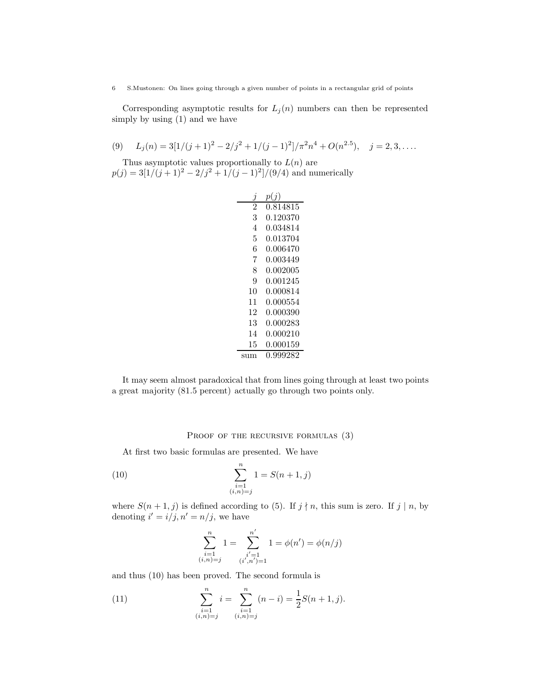Corresponding asymptotic results for  $L_j(n)$  numbers can then be represented simply by using (1) and we have

(9) 
$$
L_j(n) = 3[1/(j+1)^2 - 2/j^2 + 1/(j-1)^2]/\pi^2 n^4 + O(n^{2.5}), \quad j = 2, 3, ....
$$

Thus asymptotic values proportionally to  $L(n)$  are  $p(j) = 3[1/(j+1)^2 - 2/j^2 + 1/(j-1)^2]/(9/4)$  and numerically

|     | p(j)     |
|-----|----------|
| 2   | 0.814815 |
| 3   | 0.120370 |
| 4   | 0.034814 |
| 5   | 0.013704 |
| 6   | 0.006470 |
| 7   | 0.003449 |
| 8   | 0.002005 |
| 9   | 0.001245 |
| 10  | 0.000814 |
| 11  | 0.000554 |
| 12  | 0.000390 |
| 13  | 0.000283 |
| 14  | 0.000210 |
| 15  | 0.000159 |
| sum | 0.999282 |

It may seem almost paradoxical that from lines going through at least two points a great majority (81.5 percent) actually go through two points only.

## PROOF OF THE RECURSIVE FORMULAS (3)

At first two basic formulas are presented. We have

(10) 
$$
\sum_{\substack{i=1 \ i, n \ge j}}^{n} 1 = S(n+1, j)
$$

where  $S(n + 1, j)$  is defined according to (5). If  $j \nmid n$ , this sum is zero. If  $j \mid n$ , by denoting  $i' = i/j, n' = n/j$ , we have

$$
\sum_{\substack{i=1 \ i,n=j}}^n 1 = \sum_{\substack{i'=1 \ i',n' = 1}}^{n'} 1 = \phi(n') = \phi(n/j)
$$

and thus (10) has been proved. The second formula is

(11) 
$$
\sum_{\substack{i=1 \ i, n \ge j}}^{n} i = \sum_{\substack{i=1 \ i, n \ge j}}^{n} (n-i) = \frac{1}{2}S(n+1, j).
$$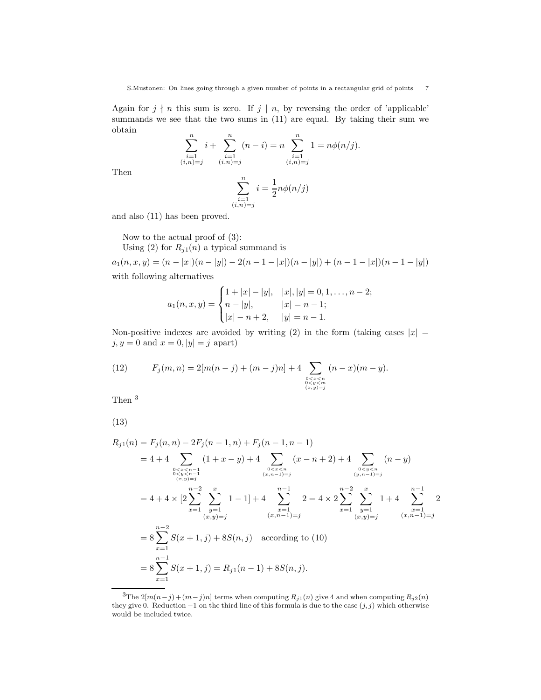Again for  $j \nmid n$  this sum is zero. If  $j \mid n$ , by reversing the order of 'applicable' summands we see that the two sums in (11) are equal. By taking their sum we obtain

$$
\sum_{\substack{i=1 \ i,n)=j}}^{n} i + \sum_{\substack{i=1 \ i,n \ =j}}^{n} (n-i) = n \sum_{\substack{i=1 \ i,n \ =j}}^{n} 1 = n\phi(n/j).
$$

Then

$$
\sum_{\substack{i=1 \ (i,n)=j}}^n i = \frac{1}{2}n\phi(n/j)
$$

and also (11) has been proved.

Now to the actual proof of (3):

Using (2) for  $R_{j1}(n)$  a typical summand is

 $a_1(n,x,y) = (n - |x|)(n - |y|) - 2(n - 1 - |x|)(n - |y|) + (n - 1 - |x|)(n - 1 - |y|)$ with following alternatives

$$
a_1(n, x, y) = \begin{cases} 1 + |x| - |y|, & |x|, |y| = 0, 1, \dots, n - 2; \\ n - |y|, & |x| = n - 1; \\ |x| - n + 2, & |y| = n - 1. \end{cases}
$$

Non-positive indexes are avoided by writing (2) in the form (taking cases  $|x| =$  $j, y = 0$  and  $x = 0, |y| = j$  apart)

(12) 
$$
F_j(m,n) = 2[m(n-j) + (m-j)n] + 4 \sum_{\substack{0 < x < n \\ 0 < y < m \\ (x,y) = j}} (n-x)(m-y).
$$

Then <sup>3</sup>

$$
(13)
$$

$$
R_{j1}(n) = F_j(n, n) - 2F_j(n - 1, n) + F_j(n - 1, n - 1)
$$
  
\n
$$
= 4 + 4 \sum_{\substack{0 < x < n - 1 \\ 0 < y < n - 1 \\ (x, y) = j}} (1 + x - y) + 4 \sum_{\substack{0 < x < n \\ (x, n - 1) = j}} (x - n + 2) + 4 \sum_{\substack{0 < y < n \\ (y, n - 1) = j}} (n - y)
$$
  
\n
$$
= 4 + 4 \times \left[ 2 \sum_{x=1}^{\infty} \sum_{\substack{y=1 \\ (x, y) = j}} 1 - 1 \right] + 4 \sum_{\substack{x=1 \\ (x, n - 1) = j}}^{\infty} 2 = 4 \times 2 \sum_{x=1}^{\infty} \sum_{\substack{y=1 \\ (y, y) = j}}^{\infty} 1 + 4 \sum_{\substack{x=1 \\ (x, y) = j}}^{\infty} 2
$$
  
\n
$$
= 8 \sum_{x=1}^{n-2} S(x + 1, j) + 8S(n, j) \quad \text{according to (10)}
$$
  
\n
$$
= 8 \sum_{x=1}^{n-1} S(x + 1, j) = R_{j1}(n - 1) + 8S(n, j).
$$

<sup>&</sup>lt;sup>3</sup>The 2[m(n-j)+ (m-j)n] terms when computing  $R_{j1}(n)$  give 4 and when computing  $R_{j2}(n)$ they give 0. Reduction  $-1$  on the third line of this formula is due to the case  $(j, j)$  which otherwise would be included twice.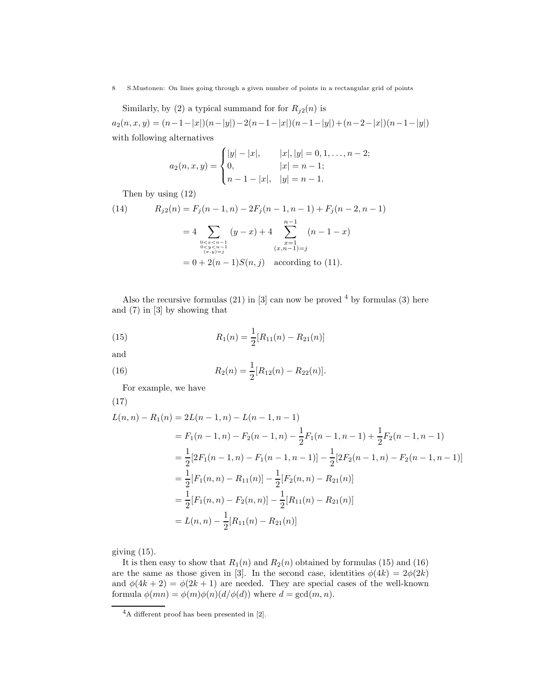Similarly, by (2) a typical summand for for  $R_{i2}(n)$  is

 $a_2(n, x, y) = (n-1-|x|)(n-|y|)-2(n-1-|x|)(n-1-|y|)+(n-2-|x|)(n-1-|y|)$ with following alternatives

$$
a_2(n, x, y) = \begin{cases} |y| - |x|, & |x|, |y| = 0, 1, \dots, n - 2; \\ 0, & |x| = n - 1; \\ n - 1 - |x|, & |y| = n - 1. \end{cases}
$$

Then by using (12)

(14) 
$$
R_{j2}(n) = F_j(n-1, n) - 2F_j(n-1, n-1) + F_j(n-2, n-1)
$$

$$
= 4 \sum_{\substack{0 < x < n-1 \\ 0 < y < n-1 \\ (x, y) = j}} (y-x) + 4 \sum_{\substack{x=1 \\ (x, n-1) = j}}^{n-1} (n-1-x)
$$

$$
= 0 + 2(n-1)S(n, j) \text{ according to (11)}.
$$

Also the recursive formulas  $(21)$  in  $[3]$  can now be proved  $4$  by formulas  $(3)$  here and (7) in [3] by showing that

(15) 
$$
R_1(n) = \frac{1}{2}[R_{11}(n) - R_{21}(n)]
$$

and

(16) 
$$
R_2(n) = \frac{1}{2} [R_{12}(n) - R_{22}(n)].
$$

For example, we have

$$
(17)
$$

$$
L(n,n) - R_1(n) = 2L(n-1,n) - L(n-1,n-1)
$$
  
=  $F_1(n-1,n) - F_2(n-1,n) - \frac{1}{2}F_1(n-1,n-1) + \frac{1}{2}F_2(n-1,n-1)$   
=  $\frac{1}{2}[2F_1(n-1,n) - F_1(n-1,n-1)] - \frac{1}{2}[2F_2(n-1,n) - F_2(n-1,n-1)]$   
=  $\frac{1}{2}[F_1(n,n) - R_{11}(n)] - \frac{1}{2}[F_2(n,n) - R_{21}(n)]$   
=  $\frac{1}{2}[F_1(n,n) - F_2(n,n)] - \frac{1}{2}[R_{11}(n) - R_{21}(n)]$   
=  $L(n,n) - \frac{1}{2}[R_{11}(n) - R_{21}(n)]$ 

giving (15).

It is then easy to show that  $R_1(n)$  and  $R_2(n)$  obtained by formulas (15) and (16) are the same as those given in [3]. In the second case, identities  $\phi(4k) = 2\phi(2k)$ and  $\phi(4k+2) = \phi(2k+1)$  are needed. They are special cases of the well-known formula  $\phi(mn) = \phi(m)\phi(n)(d/\phi(d))$  where  $d = \gcd(m, n)$ .

 $^4\mathrm{A}$  different proof has been presented in [2].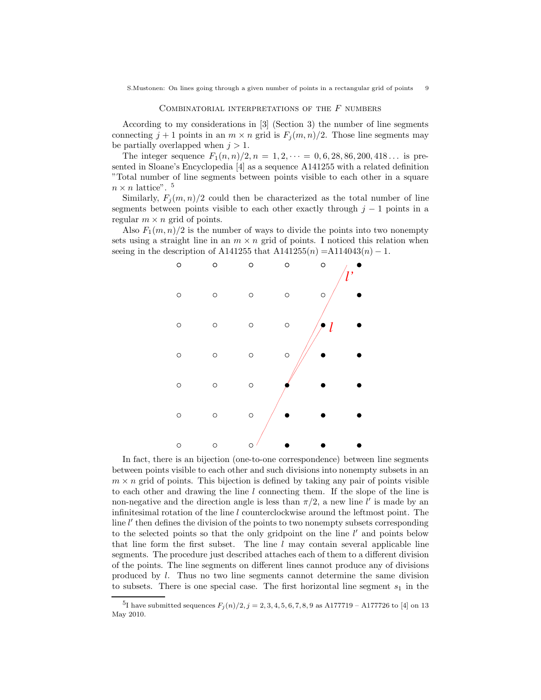#### COMBINATORIAL INTERPRETATIONS OF THE  $F$  numbers

According to my considerations in [3] (Section 3) the number of line segments connecting  $j + 1$  points in an  $m \times n$  grid is  $F_j(m, n)/2$ . Those line segments may be partially overlapped when  $j > 1$ .

The integer sequence  $F_1(n,n)/2, n = 1, 2, \dots = 0, 6, 28, 86, 200, 418 \dots$  is presented in Sloane's Encyclopedia [4] as a sequence A141255 with a related definition "Total number of line segments between points visible to each other in a square  $n \times n$  lattice". <sup>5</sup>

Similarly,  $F_i(m, n)/2$  could then be characterized as the total number of line segments between points visible to each other exactly through  $j - 1$  points in a regular  $m \times n$  grid of points.

Also  $F_1(m, n)/2$  is the number of ways to divide the points into two nonempty sets using a straight line in an  $m \times n$  grid of points. I noticed this relation when seeing in the description of A141255 that  $A141255(n) = A114043(n) - 1$ .



In fact, there is an bijection (one-to-one correspondence) between line segments between points visible to each other and such divisions into nonempty subsets in an  $m \times n$  grid of points. This bijection is defined by taking any pair of points visible to each other and drawing the line l connecting them. If the slope of the line is non-negative and the direction angle is less than  $\pi/2$ , a new line  $\ell'$  is made by an infinitesimal rotation of the line  $l$  counterclockwise around the leftmost point. The line  $l'$  then defines the division of the points to two nonempty subsets corresponding to the selected points so that the only gridpoint on the line  $l'$  and points below that line form the first subset. The line  $l$  may contain several applicable line segments. The procedure just described attaches each of them to a different division of the points. The line segments on different lines cannot produce any of divisions produced by l. Thus no two line segments cannot determine the same division to subsets. There is one special case. The first horizontal line segment  $s_1$  in the

<sup>&</sup>lt;sup>5</sup>I have submitted sequences  $F_j(n)/2, j = 2, 3, 4, 5, 6, 7, 8, 9$  as A177719 – A177726 to [4] on 13 May 2010.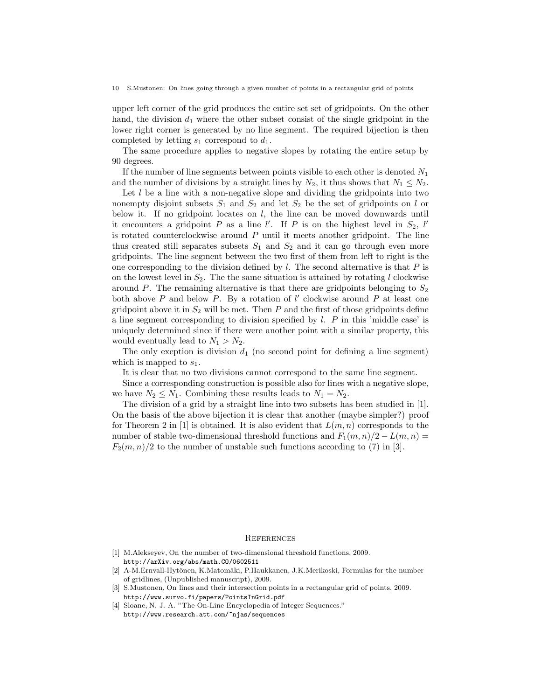upper left corner of the grid produces the entire set set of gridpoints. On the other hand, the division  $d_1$  where the other subset consist of the single gridpoint in the lower right corner is generated by no line segment. The required bijection is then completed by letting  $s_1$  correspond to  $d_1$ .

The same procedure applies to negative slopes by rotating the entire setup by 90 degrees.

If the number of line segments between points visible to each other is denoted  $N_1$ and the number of divisions by a straight lines by  $N_2$ , it thus shows that  $N_1 \leq N_2$ .

Let  $l$  be a line with a non-negative slope and dividing the gridpoints into two nonempty disjoint subsets  $S_1$  and  $S_2$  and let  $S_2$  be the set of gridpoints on l or below it. If no gridpoint locates on  $l$ , the line can be moved downwards until it encounters a gridpoint P as a line  $l'$ . If P is on the highest level in  $S_2$ , l' is rotated counterclockwise around  $P$  until it meets another gridpoint. The line thus created still separates subsets  $S_1$  and  $S_2$  and it can go through even more gridpoints. The line segment between the two first of them from left to right is the one corresponding to the division defined by  $l$ . The second alternative is that  $P$  is on the lowest level in  $S_2$ . The the same situation is attained by rotating l clockwise around P. The remaining alternative is that there are gridpoints belonging to  $S_2$ both above P and below P. By a rotation of  $l'$  clockwise around P at least one gridpoint above it in  $S_2$  will be met. Then P and the first of those gridpoints define a line segment corresponding to division specified by  $l$ .  $P$  in this 'middle case' is uniquely determined since if there were another point with a similar property, this would eventually lead to  $N_1 > N_2$ .

The only exeption is division  $d_1$  (no second point for defining a line segment) which is mapped to  $s_1$ .

It is clear that no two divisions cannot correspond to the same line segment.

Since a corresponding construction is possible also for lines with a negative slope, we have  $N_2 \leq N_1$ . Combining these results leads to  $N_1 = N_2$ .

The division of a grid by a straight line into two subsets has been studied in [1]. On the basis of the above bijection it is clear that another (maybe simpler?) proof for Theorem 2 in [1] is obtained. It is also evident that  $L(m, n)$  corresponds to the number of stable two-dimensional threshold functions and  $F_1(m, n)/2 - L(m, n) =$  $F_2(m, n)/2$  to the number of unstable such functions according to (7) in [3].

## **REFERENCES**

- [1] M.Alekseyev, On the number of two-dimensional threshold functions, 2009. http://arXiv.org/abs/math.CO/0602511
- [2] A-M.Ernvall-Hytönen, K.Matomäki, P.Haukkanen, J.K.Merikoski, Formulas for the number of gridlines, (Unpublished manuscript), 2009.
- [3] S.Mustonen, On lines and their intersection points in a rectangular grid of points, 2009. http://www.survo.fi/papers/PointsInGrid.pdf
- [4] Sloane, N. J. A. "The On-Line Encyclopedia of Integer Sequences." http://www.research.att.com/~njas/sequences